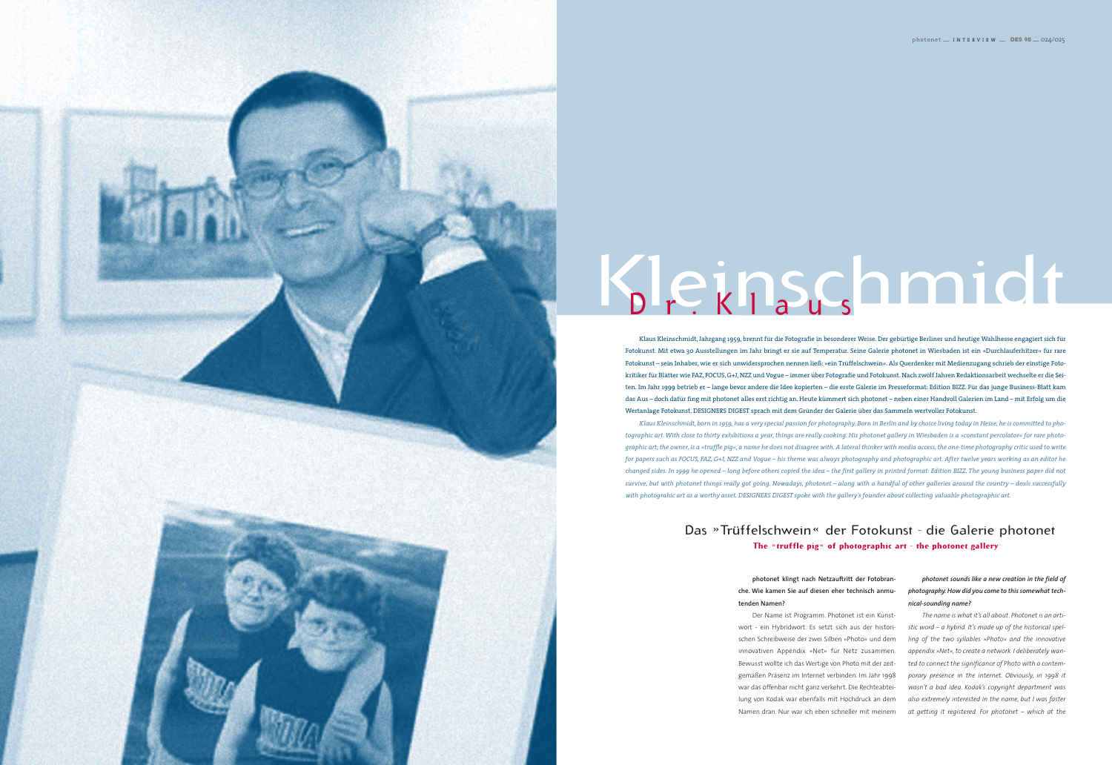

# Kleinschmidt

# Das »Trüffelschwein« der Fotokunst - die Galerie photonet **The »truffle pig« of photographic art – the photonet gallery**

**photonet klingt nach Netzauftritt der Fotobranche. Wie kamen Sie auf diesen eher technisch anmutenden Namen?**

Der Name ist Programm. Photonet ist ein Kunstwort - ein Hybridwort. Es setzt sich aus der historischen Schreibweise der zwei Silben »Photo« und dem innovativen Appendix »Net« für Netz zusammen. Bewusst wollte ich das Wertige von Photo mit der zeitgemäßen Präsenz im Internet verbinden. Im Jahr 1998 war das offenbar nicht ganz verkehrt. Die Rechteabteilung von Kodak war ebenfalls mit Hochdruck an dem Namen dran. Nur war ich eben schneller mit meinem

*photonet sounds like a new creation in the field of photography. How did you come to this somewhat technical-sounding name?*

*The name is what it's all about. Photonet is an artistic word – a hybrid. It's made up of the historical spelling of the two syllables »Photo« and the innovative appendix »Net«, to create a network. I deliberately wanted to connect the significance of Photo with a contemporary presence in the internet. Obviously, in 1998 it wasn't a bad idea. Kodak's copyright department was also extremely interested in the name, but I was faster at getting it registered. For photonet – which at the*

Klaus Kleinschmidt, Jahrgang 1959, brennt für die Fotografie in besonderer Weise. Der gebürtige Berliner und heutige Wahlhesse engagiert sich für Fotokunst. Mit etwa 30 Ausstellungen im Jahr bringt er sie auf Temperatur. Seine Galerie photonet in Wiesbaden ist ein »Durchlauferhitzer« für rare Fotokunst – sein Inhaber, wie er sich unwidersprochen nennen ließ: »ein Trüffelschwein«. Als Querdenker mit Medienzugang schrieb der einstige Fotokritiker für Blätter wie FAZ, FOCUS, G+J, NZZ und Vogue – immer über Fotografie und Fotokunst. Nach zwölf Jahren Redaktionsarbeit wechselte er die Seiten. Im Jahr 1999 betrieb er – lange bevor andere die Idee kopierten – die erste Galerie im Presseformat: Edition BIZZ. Für das junge Business-Blatt kam das Aus – doch dafür fing mit photonet alles erst richtig an. Heute kümmert sich photonet – neben einer Handvoll Galerien im Land – mit Erfolg um die Wertanlage Fotokunst. DESIGNERS DIGEST sprach mit dem Gründer der Galerie über das Sammeln wertvoller Fotokunst.

*Klaus Kleinschmidt, born in 1959, has a very special passion for photography. Born in Berlin and by choice living today in Hesse, he is committed to photographic art. With close to thirty exhibitions a year, things are really cooking. His photonet gallery in Wiesbaden is a »constant percolator« for rare photographic art; the owner, is a »truffle pig«, a name he does not disagree with. A lateral thinker with media access, the one-time photography critic used to write for papers such as FOCUS, FAZ, G+J, NZZ and Vogue – his theme was always photography and photographic art. After twelve years working as an editor he changed sides. In 1999 he opened – long before others copied the idea – the first gallery in printed format: Edition BIZZ. The young business paper did not survive, but with photonet things really got going. Nowadays, photonet – along with a handful of other galleries around the country – deals successfully with photograhic art as a worthy asset. DESIGNERS DIGEST spoke with the gallery's founder about collecting valuable photographic art.*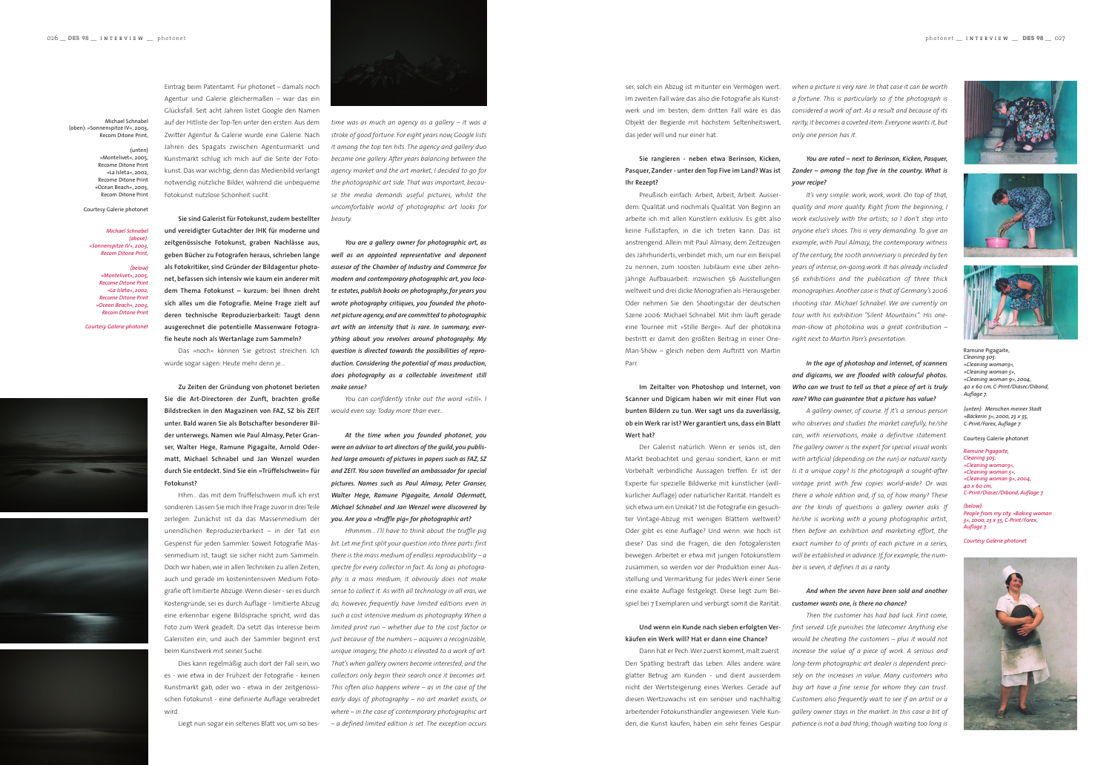*time was as much an agency as a gallery – it was a stroke of good fortune. For eight years now, Google lists it among the top ten hits. The agency and gallery duo became one gallery. After years balancing between the agency market and the art market, I decided to go for the photographic art side. That was important, because the media demands useful pictures, whilst the uncomfortable world of photographic art looks for beauty.*

*You are a gallery owner for photographic art, as well as an appointed representative and deponent assesor of the Chamber of Industry and Commerce for modern and contemporary photographic art, you locate estates, publish books on photography, for years you wrote photography critiques, you founded the photonet picture agency, and are committed to photographic art with an intensity that is rare. In summary, everything about you revolves around photography. My question is directed towards the possibilities of reproduction. Considering the potential of mass production, does photography as a collectable investment still make sense?*

*You can confidently strike out the word »still«. I would even say: Today more than ever...*

*At the time when you founded photonet, you were an advisor to art directors of the guild, you published large amounts of pictures in papers such as FAZ, SZ and ZEIT. You soon travelled an ambassador for special pictures. Names such as Paul Almasy, Peter Granser, Walter Hege, Ramune Pigagaite, Arnold Odermatt, Michael Schnabel and Jan Wenzel were discovered by you. Are you a »truffle pig« for photographic art?*

*Hhmmm... I'll have to think about the truffle pig bit. Let me first split your question into three parts: first there is the mass medium of endless reproducibility – a spectre for every collector in fact. As long as photography is a mass medium, it obviously does not make sense to collect it. As with all technology in all eras, we do, however, frequently have limited editions even in such a cost intensive medium as photography. When a limited print run – whether due to the cost factor or just because of the numbers – acquires a recognizable, unique imagery, the photo is elevated to a work of art. That's when gallery owners become interested; and the collectors only begin their search once it becomes art. This often also happens where – as in the case of the early days of photography – no art market exists, or where – in the case of contemporary photographic art – a defined limited edition is set. The exception occurs*

Agentur und Galerie gleichermaßen – war das ein Glücksfall. Seit acht Jahren listet Google den Namen auf der Hitliste der Top-Ten unter den ersten. Aus dem Zwitter Agentur & Galerie wurde eine Galerie. Nach Jahren des Spagats zwischen Agenturmarkt und Kunstmarkt schlug ich mich auf die Seite der Fotokunst. Das war wichtig; denn das Medienbild verlangt notwendig nützliche Bilder, während die unbequeme Fotokunst nutzlose Schönheit sucht.

**Sie sind Galerist für Fotokunst, zudem bestellter und vereidigter Gutachter der IHK für moderne und zeitgenössische Fotokunst, graben Nachlässe aus, geben Bücher zu Fotografen heraus, schrieben lange als Fotokritiker, sind Gründer der Bildagentur photonet, befassen sich intensiv wie kaum ein anderer mit dem Thema Fotokunst – kurzum: bei Ihnen dreht sich alles um die Fotografie. Meine Frage zielt auf deren technische Reproduzierbarkeit: Taugt denn ausgerechnet die potentielle Massenware Fotografie heute noch als Wertanlage zum Sammeln?**

Das »noch« können Sie getrost streichen. Ich würde sogar sagen: Heute mehr denn je…

**Zu Zeiten der Gründung von photonet berieten Sie die Art-Directoren der Zunft, brachten große Bildstrecken in den Magazinen von FAZ, SZ bis ZEIT unter. Bald waren Sie als Botschafter besonderer Bilder unterwegs. Namen wie Paul Almasy, Peter Granser, Walter Hege, Ramune Pigagaite, Arnold Odermatt, Michael Schnabel und Jan Wenzel wurden durch Sie entdeckt. Sind Sie ein »Trüffelschwein« für Fotokunst?**

Hhm... das mit dem Trüffelschwein muß ich erst sondieren. Lassen Sie mich Ihre Frage zuvor in drei Teile zerlegen: Zunächst ist da das Massenmedium der unendlichen Reproduzierbarkeit – in der Tat ein Gespenst für jeden Sammler. Soweit Fotografie Massenmedium ist, taugt sie sicher nicht zum Sammeln. Doch wir haben, wie in allen Techniken zu allen Zeiten, auch und gerade im kostenintensiven Medium Fotografie oft limitierte Abzüge. Wenn dieser - sei es durch Kostengründe, sei es durch Auflage - limitierte Abzug eine erkennbar eigene Bildsprache spricht, wird das Foto zum Werk geadelt. Da setzt das Interesse beim Galeristen ein; und auch der Sammler beginnt erst beim Kunstwerk mit seiner Suche.

Dies kann regelmäßig auch dort der Fall sein, wo es - wie etwa in der Frühzeit der Fotografie - keinen Kunstmarkt gab, oder wo - etwa in der zeitgenössischen Fotokunst - eine definierte Auflage verabredet wird.

Liegt nun sogar ein seltenes Blatt vor, um so bes-

*when a picture is very rare. In that case it can be worth a fortune. This is particularly so if the photograph is considered a work of art. As a result and because of its rarity, it becomes a coveted item. Everyone wants it, but only one person has it.*

## *You are rated – next to Berinson, Kicken, Pasquer, Zander – among the top five in the country. What is your recipe?*

*It's very simple: work, work, work. On top of that, quality and more quality. Right from the beginning, I work exclusively with the artists; so I don't step into anyone else's shoes. This is very demanding. To give an example, with Paul Almasy, the contemporary witness of the century, the 100th anniversary is preceded by ten years of intense, on-going work. It has already included 56 exhibitions and the publication of three thick monographies. Another case is that of Germany's 2006 shooting star: Michael Schnabel. We are currently on tour with his exhibition "Silent Mountains". His oneman-show at photokina was a great contribution – right next to Martin Parr's presentation.*

*In the age of photoshop and internet, of scanners and digicams, we are flooded with colourful photos. Who can we trust to tell us that a piece of art is truly rare? Who can guarantee that a picture has value?*

*A gallery owner, of course. If it's a serious person who observes and studies the market carefully, he/she can, with reservations, make a definitive statement. The gallery owner is the expert for special visual works with artificial (depending on the run) or natural rarity. Is it a unique copy? Is the photograph a sought-after vintage print with few copies world-wide? Or was there a whole edition and, if so, of how many? These are the kinds of questions a gallery owner asks. If he/she is working with a young photographic artist, then before an exhibition and marketing effort, the exact number to of prints of each picture in a series, will be established in advance. If, for example, the number is seven, it defines it as a rarity.*



#### *And when the seven have been sold and another customer wants one, is there no chance?*

*Then the customer has had bad luck. First come, first served. Life punishes the latecomer. Anything else would be cheating the customers – plus it would not increase the value of a piece of work. A serious and long-term photographic art dealer is dependent precisely on the increases in value. Many customers who buy art have a fine sense for whom they can trust. Customers also frequently wait to see if an artist or a gallery owner stays in the market. In this case a bit of patience is not a bad thing; though waiting too long is*







ser, solch ein Abzug ist mitunter ein Vermögen wert. Im zweiten Fall wäre das also die Fotografie als Kunstwerk und im besten, dem dritten Fall wäre es das Objekt der Begierde mit höchstem Seltenheitswert, das jeder will und nur einer hat.

#### **Sie rangieren - neben etwa Berinson, Kicken, Pasquer, Zander - unter den Top Five im Land? Was ist Ihr Rezept?**

Preußisch einfach: Arbeit, Arbeit, Arbeit. Ausserdem: Qualität und nochmals Qualität. Von Beginn an arbeite ich mit allen Künstlern exklusiv. Es gibt also keine Fußstapfen, in die ich treten kann. Das ist anstrengend. Allein mit Paul Almasy, dem Zeitzeugen des Jahrhunderts, verbindet mich, um nur ein Beispiel zu nennen, zum 100sten Jubiläum eine über zehnjährige Aufbauarbeit: inzwischen 56 Ausstellungen weltweit und drei dicke Monografien als Herausgeber. Oder nehmen Sie den Shootingstar der deutschen Szene 2006: Michael Schnabel. Mit ihm läuft gerade eine Tournee mit »Stille Berge«. Auf der photokina bestritt er damit den größten Beitrag in einer One-Man-Show – gleich neben dem Auftritt von Martin Parr.

**Im Zeitalter von Photoshop und Internet, von Scanner und Digicam haben wir mit einer Flut von bunten Bildern zu tun. Wer sagt uns da zuverlässig, ob ein Werk rar ist? Wer garantiert uns, dass ein Blatt Wert hat?**

Der Galerist natürlich. Wenn er seriös ist, den Markt beobachtet und genau sondiert, kann er mit Vorbehalt verbindliche Aussagen treffen. Er ist der Experte für spezielle Bildwerke mit künstlicher (willkürlicher Auflage) oder natürlicher Rarität. Handelt es sich etwa um ein Unikat? Ist die Fotografie ein gesuchter Vintage-Abzug mit wenigen Blättern weltweit? Oder gibt es eine Auflage? Und wenn: wie hoch ist diese? Das sind die Fragen, die den Fotogaleristen bewegen. Arbeitet er etwa mit jungen Fotokünstlern zusammen, so werden vor der Produktion einer Ausstellung und Vermarktung für jedes Werk einer Serie eine exakte Auflage festgelegt. Diese liegt zum Beispiel bei 7 Exemplaren und verbürgt somit die Rarität.

### **Und wenn ein Kunde nach sieben erfolgten Verkäufen ein Werk will? Hat er dann eine Chance?**

Dann hat er Pech.Wer zuerst kommt, malt zuerst. Den Spätling bestraft das Leben. Alles andere wäre glatter Betrug am Kunden - und dient ausserdem nicht der Wertsteigerung eines Werkes. Gerade auf diesen Wertzuwachs ist ein seriöser und nachhaltig arbeitender Fotokunsthändler angewiesen. Viele Kunden, die Kunst kaufen, haben ein sehr feines Gespür

Ramune Pigagaite, *Cleaning 305: »Cleaning woman3«, »Cleaning woman 5«, »Cleaning woman 9«, 2004, 40 x 60 cm, C-Print/Diasec/Dibond, Auflage 7.*

*(unten): Menschen meiner Stadt »Bäckerin 3«, 2000, 23 x 35, C-Print/Forex, Auflage 7.*

Courtesy Galerie photonet

*Ramune Pigagaite, Cleaning 305: »Cleaning woman3«, »Cleaning woman 5«, »Cleaning woman 9«, 2004, 40 x 60 cm, C-Print/Diasec/Dibond, Auflage 7.*

*(below): People from my city »Baking woman 3«, 2000, 23 x 35, C-Print/Forex, Auflage 7.*

*Courtesy Galerie photonet*



Michael Schnabel (oben): »Sonnenspitze IV«, 2003, Recom Ditone Print,

> (unten) »Montelivet«, 2005, Recome Ditone Print »La Isleta«, 2002, Recome Ditone Print »Ocean Beach«, 2003, Recom Ditone Print

Courtesy Galerie photonet

*Michael Schnabel (above) »Sonnenspitze IV«, 2003, Recom Ditone Print,*

*(below) »Montelivet«, 2005, Recome Ditone Print »La Isleta«, 2002, Recome Ditone Print »Ocean Beach«, 2003, Recom Ditone Print*

*Courtesy Galerie photonet*



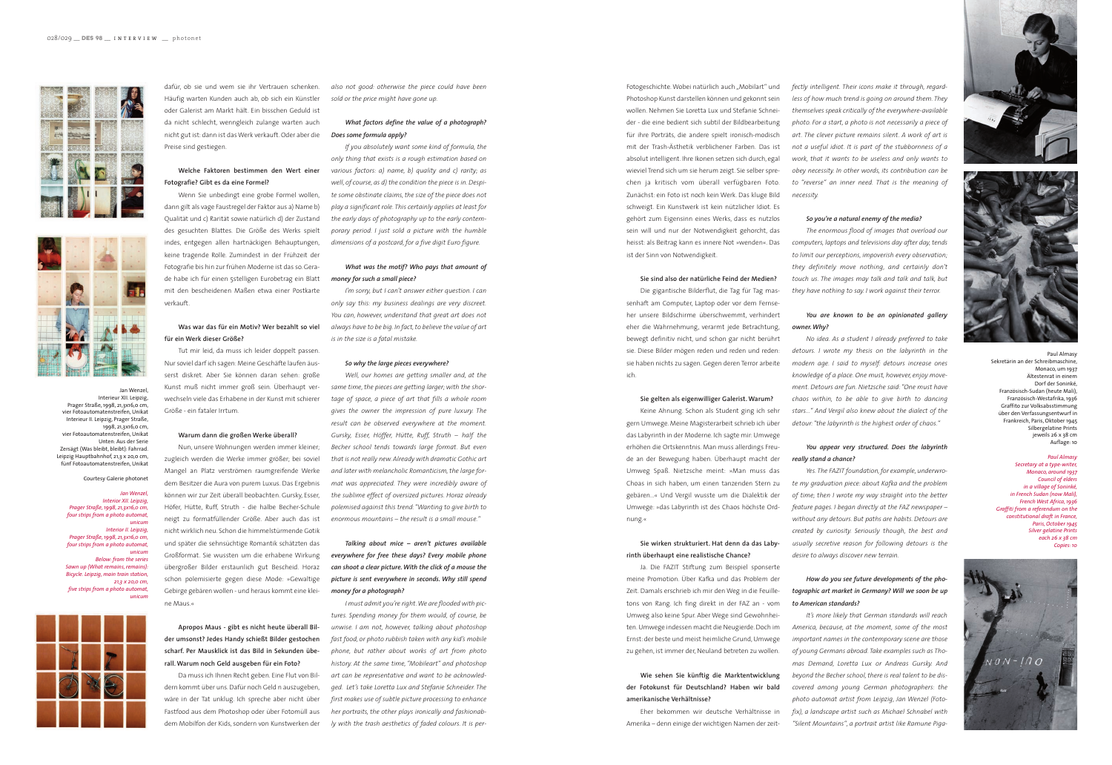*fectly intelligent. Their icons make it through, regardless of how much trend is going on around them. They themselves speak critically of the everywhere-available photo. For a start, a photo is not necessarily a piece of art. The clever picture remains silent. A work of art is not a useful idiot. It is part of the stubbornness of a work, that it wants to be useless and only wants to obey necessity. In other words, its contribution can be to "reverse" an inner need. That is the meaning of necessity.*

#### *So you're a natural enemy of the media?*

*The enormous flood of images that overload our computers, laptops and televisions day after day, tends to limit our perceptions, impoverish every observation; they definitely move nothing, and certainly don't touch us. The images may talk and talk and talk, but they have nothing to say. I work against their terror.*

#### *You are known to be an opinionated gallery owner. Why?*

*No idea. As a student I already preferred to take detours. I wrote my thesis on the labyrinth in the modern age. I said to myself: detours increase ones knowledge of a place. One must, however, enjoy movement. Detours are fun. Nietzsche said: "One must have chaos within, to be able to give birth to dancing stars..." And Vergil also knew about the dialect of the detour:"the labyrinth is the highest order of chaos."*

#### *You appear very structured. Does the labyrinth really stand a chance?*

Fotogeschichte. Wobei natürlich auch "Mobilart" und Photoshop Kunst darstellen können und gekonnt sein wollen. Nehmen Sie Loretta Lux und Stefanie Schneider - die eine bedient sich subtil der Bildbearbeitung für ihre Porträts, die andere spielt ironisch-modisch mit der Trash-Ästhetik verblichener Farben. Das ist absolut intelligent. Ihre Ikonen setzen sich durch, egal wieviel Trend sich um sie herum zeigt. Sie selber sprechen ja kritisch vom überall verfügbaren Foto. Zunächst: ein Foto ist noch kein Werk. Das kluge Bild schweigt. Ein Kunstwerk ist kein nützlicher Idiot. Es gehört zum Eigensinn eines Werks, dass es nutzlos sein will und nur der Notwendigkeit gehorcht, das heisst: als Beitrag kann es innere Not »wenden«. Das ist der Sinn von Notwendigkeit.

> *Yes. The FAZIT foundation, for example, underwrote my graduation piece: about Kafka and the problem of time; then I wrote my way straight into the better feature pages. I began directly at the FAZ newspaper – without any detours. But paths are habits. Detours are created by curiosity. Seriously though, the best and usually secretive reason for following detours is the desire to always discover new terrain.*

#### *How do you see future developments of the photographic art market in Germany? Will we soon be up to American standards?*

*It's more likely that German standards will reach America, because, at the moment, some of the most important names in the contemporary scene are those of young Germans abroad. Take examples such as Thomas Demand, Loretta Lux or Andreas Gursky. And beyond the Becher school, there is real talent to be discovered among young German photographers: the photo automat artist from Leipzig, Jan Wenzel (Fotofix), a landscape artist such as Michael Schnabel with "Silent Mountains", a portrait artist like Ramune Piga-*





#### **Sie sind also der natürliche Feind der Medien?**

Die gigantische Bilderflut, die Tag für Tag massenhaft am Computer, Laptop oder vor dem Fernseher unsere Bildschirme überschwemmt, verhindert eher die Wahrnehmung, verarmt jede Betrachtung, bewegt definitiv nicht, und schon gar nicht berührt sie. Diese Bilder mögen reden und reden und reden: sie haben nichts zu sagen. Gegen deren Terror arbeite ich.

#### **Sie gelten als eigenwilliger Galerist. Warum?**

Keine Ahnung. Schon als Student ging ich sehr gern Umwege. Meine Magisterarbeit schrieb ich über das Labyrinth in der Moderne. Ich sagte mir: Umwege erhöhen die Ortskenntnis. Man muss allerdings Freude an der Bewegung haben. Überhaupt macht der Umweg Spaß. Nietzsche meint: »Man muss das Choas in sich haben, um einen tanzenden Stern zu gebären...« Und Vergil wusste um die Dialektik der Umwege: »das Labyrinth ist des Chaos höchste Ordnung.«

#### **Sie wirken strukturiert. Hat denn da das Labyrinth überhaupt eine realistische Chance?**

Ja. Die FAZIT Stiftung zum Beispiel sponserte meine Promotion. Über Kafka und das Problem der Zeit. Damals erschrieb ich mir den Weg in die Feuilletons von Rang. Ich fing direkt in der FAZ an - vom Umweg also keine Spur. Aber Wege sind Gewohnheiten. Umwege indessen macht die Neugierde. Doch im Ernst: der beste und meist heimliche Grund, Umwege zu gehen, ist immer der, Neuland betreten zu wollen.

#### **Wie sehen Sie künftig die Marktentwicklung der Fotokunst für Deutschland? Haben wir bald amerikanische Verhältnisse?**

Eher bekommen wir deutsche Verhältnisse in Amerika – denn einige der wichtigen Namen der zeit-





*also not good: otherwise the piece could have been sold or the price might have gone up.*

#### *What factors define the value of a photograph? Does some formula apply?*

*If you absolutely want some kind of formula, the only thing that exists is a rough estimation based on various factors: a) name, b) quality and c) rarity; as well, of course, as d) the condition the piece is in. Despite some obstinate claims, the size of the piece does not play a significant role. This certainly applies at least for the early days of photography up to the early contemporary period. I just sold a picture with the humble dimensions of a postcard, for a five digit Euro figure.*

#### *What was the motif? Who pays that amount of money for such a small piece?*

*I'm sorry, but I can't answer either question. I can only say this: my business dealings are very discreet. You can, however, understand that great art does not always have to be big. In fact, to believe the value of art is in the size is a fatal mistake.*

#### *So why the large pieces everywhere?*

*Well, our homes are getting smaller and, at the same time, the pieces are getting larger; with the shortage of space, a piece of art that fills a whole room gives the owner the impression of pure luxury. The result can be observed everywhere at the moment. Gursky, Esser, Höffer, Hütte, Ruff, Struth – half the Becher school tends towards large format. But even that is not really new. Already with dramatic Gothic art and later with melancholic Romanticism, the large format was appreciated. They were incredibly aware of the sublime effect of oversized pictures. Horaz already polemised against this trend:"Wanting to give birth to enormous mountains – the result is a small mouse."*

*Talking about mice – aren't pictures available everywhere for free these days? Every mobile phone can shoot a clear picture. With the click of a mouse the picture is sent everywhere in seconds. Why still spend money for a photograph?*

*I must admit you're right.We are flooded with pictures. Spending money for them would, of course, be unwise. I am not, however, talking about photoshop fast food, or photo rubbish taken with any kid's mobile phone, but rather about works of art from photo history. At the same time, "Mobileart" and photoshop art can be representative and want to be acknowledged. Let's take Loretta Lux and Stefanie Schneider. The first makes use of subtle picture processing to enhance her portraits, the other plays ironically and fashionably with the trash aesthetics of faded colours. It is per-*

dafür, ob sie und wem sie ihr Vertrauen schenken. Häufig warten Kunden auch ab, ob sich ein Künstler oder Galerist am Markt hält. Ein bisschen Geduld ist da nicht schlecht, wenngleich zulange warten auch nicht gut ist: dann ist das Werk verkauft. Oder aber die Preise sind gestiegen.

#### **Welche Faktoren bestimmen den Wert einer Fotografie? Gibt es da eine Formel?**

Wenn Sie unbedingt eine grobe Formel wollen, dann gilt als vage Faustregel der Faktor aus a) Name b) Qualität und c) Rarität sowie natürlich d) der Zustand des gesuchten Blattes. Die Größe des Werks spielt indes, entgegen allen hartnäckigen Behauptungen, keine tragende Rolle. Zumindest in der Frühzeit der Fotografie bis hin zur frühen Moderne ist das so. Gerade habe ich für einen 5stelligen Eurobetrag ein Blatt mit den bescheidenen Maßen etwa einer Postkarte verkauft.

#### **Was war das für ein Motiv? Wer bezahlt so viel für ein Werk dieser Größe?**

Tut mir leid, da muss ich leider doppelt passen. Nur soviel darf ich sagen: Meine Geschäfte laufen äusserst diskret. Aber Sie können daran sehen: große Kunst muß nicht immer groß sein. Überhaupt verwechseln viele das Erhabene in der Kunst mit schierer Größe - ein fataler Irrtum.

#### **Warum dann die großen Werke überall?**

Nun, unsere Wohnungen werden immer kleiner; zugleich werden die Werke immer größer; bei soviel Mangel an Platz verströmen raumgreifende Werke dem Besitzer die Aura von purem Luxus. Das Ergebnis können wir zur Zeit überall beobachten. Gursky, Esser, Höfer, Hütte, Ruff, Struth - die halbe Becher-Schule neigt zu formatfüllender Größe. Aber auch das ist nicht wirklich neu. Schon die himmelstürmende Gotik und später die sehnsüchtige Romantik schätzten das Großformat. Sie wussten um die erhabene Wirkung übergroßer Bilder erstaunlich gut Bescheid. Horaz schon polemisierte gegen diese Mode: »Gewaltige Gebirge gebären wollen - und heraus kommt eine kleine Maus.«

**Apropos Maus - gibt es nicht heute überall Bilder umsonst? Jedes Handy schießt Bilder gestochen scharf. Per Mausklick ist das Bild in Sekunden überall. Warum noch Geld ausgeben für ein Foto?**

Da muss ich Ihnen Recht geben. Eine Flut von Bildern kommt über uns.Dafür noch Geld n auszugeben, wäre in der Tat unklug. Ich spreche aber nicht über Fastfood aus dem Photoshop oder über Fotomüll aus dem Mobilfon der Kids, sondern von Kunstwerken der

Jan Wenzel, Interieur XII. Leipzig, Prager Straße, 1998, 21,3x16,0 cm, vier Fotoautomatenstreifen, Unikat Interieur II. Leipzig, Prager Straße, 1998, 21,3x16,0 cm, vier Fotoautomatenstreifen, Unikat Unten: Aus der Serie Zersägt (Was bleibt, bleibt): Fahrrad. Leipzig Hauptbahnhof, 21,3 x 20,0 cm, fünf Fotoautomatenstreifen, Unikat

Courtesy Galerie photonet

*Jan Wenzel, Interior XII. Leipzig, Prager Straße, 1998, 21,3x16,0 cm, four strips from a photo automat, unicum*

*Interior II. Leipzig, Prager Straße, 1998, 21,3x16,0 cm, four strips from a photo automat, unicum*

*Below: from the series Sawn up (What remains, remains): Bicycle. Leipzig, main train station, 21,3 x 20,0 cm, five strips from a photo automat,*

*unicum* 



Paul Almasy Sekretärin an der Schreibmaschine, Monaco, um 1937 Ältestenrat in einem Dorf der Soninké, Französisch-Sudan (heute Mali), Französisch-Westafrika, 1936 Graffito zur Volksabsstimmung über den Verfassungsentwurf in Frankreich, Paris, Oktober 1945 Silbergelatine Prints jeweils 26 x 38 cm Auflage: 10

#### *Paul Almasy Secretary at a type-writer, Monaco, around 1937 Council of elders in a village of Soninké, in French Sudan (now Mali), French West Africa, 1936 Graffiti from a referendum on the constitutional draft in France, Paris, October 1945 Silver gelatine Prints*